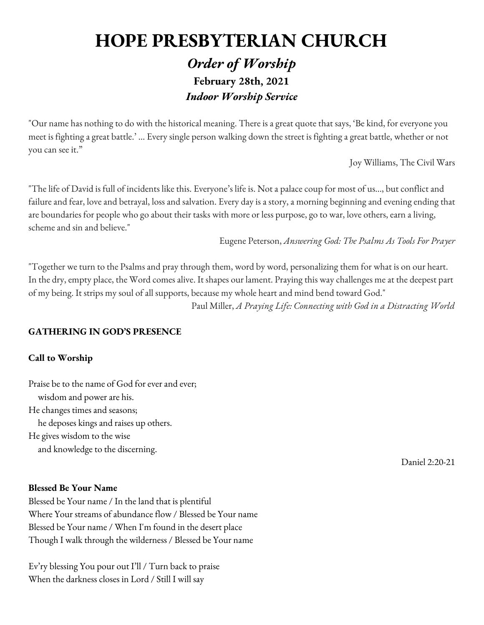# **HOPE PRESBYTERIAN CHURCH**

# *Order of Worship* **February 28th, 2021** *Indoor Worship Service*

"Our name has nothing to do with the historical meaning. There is a great quote that says, 'Be kind, for everyone you meet is fighting a great battle.' ... Every single person walking down the street is fighting a great battle, whether or not you can see it."

Joy Williams, The Civil Wars

"The life of David is full of incidents like this. Everyone's life is. Not a palace coup for most of us…, but conflict and failure and fear, love and betrayal, loss and salvation. Every day is a story, a morning beginning and evening ending that are boundaries for people who go about their tasks with more or less purpose, go to war, love others, earn a living, scheme and sin and believe."

Eugene Peterson, *Answering God: The Psalms As Tools For Prayer*

"Together we turn to the Psalms and pray through them, word by word, personalizing them for what is on our heart. In the dry, empty place, the Word comes alive. It shapes our lament. Praying this way challenges me at the deepest part of my being. It strips my soul of all supports, because my whole heart and mind bend toward God." Paul Miller, *A Praying Life: Connecting with God in a Distracting World*

# **GATHERING IN GOD'S PRESENCE**

# **Call to Worship**

Praise be to the name of God for ever and ever; wisdom and power are his. He changes times and seasons; he deposes kings and raises up others. He gives wisdom to the wise and knowledge to the discerning.

Daniel 2:20-21

#### **Blessed Be Your Name**

Blessed be Your name / In the land that is plentiful Where Your streams of abundance flow / Blessed be Your name Blessed be Your name / When I'm found in the desert place Though I walk through the wilderness / Blessed be Your name

Ev'ry blessing You pour out I'll / Turn back to praise When the darkness closes in Lord / Still I will say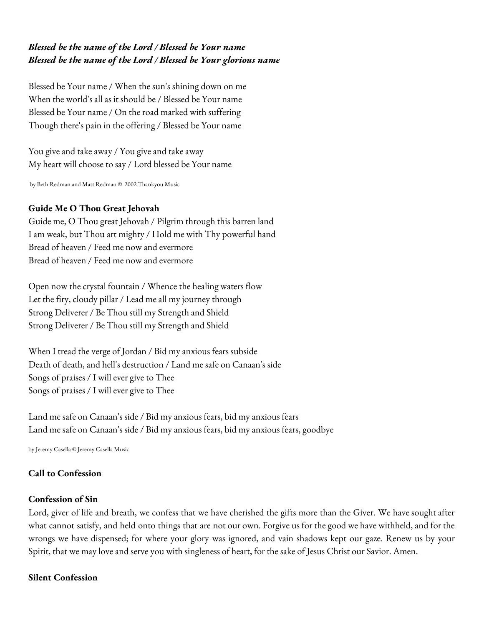# *Blessed be the name of the Lord / Blessed be Your name Blessed be the name of the Lord / Blessed be Your glorious name*

Blessed be Your name / When the sun's shining down on me When the world's all as it should be / Blessed be Your name Blessed be Your name / On the road marked with suffering Though there's pain in the offering / Blessed be Your name

You give and take away / You give and take away My heart will choose to say / Lord blessed be Your name

by Beth Redman and Matt Redman © 2002 Thankyou Music

# **Guide Me O Thou Great Jehovah**

Guide me, O Thou great Jehovah / Pilgrim through this barren land I am weak, but Thou art mighty / Hold me with Thy powerful hand Bread of heaven / Feed me now and evermore Bread of heaven / Feed me now and evermore

Open now the crystal fountain / Whence the healing waters flow Let the firy, cloudy pillar / Lead me all my journey through Strong Deliverer / Be Thou still my Strength and Shield Strong Deliverer / Be Thou still my Strength and Shield

When I tread the verge of Jordan / Bid my anxious fears subside Death of death, and hell's destruction / Land me safe on Canaan's side Songs of praises / I will ever give to Thee Songs of praises / I will ever give to Thee

Land me safe on Canaan's side / Bid my anxious fears, bid my anxious fears Land me safe on Canaan's side / Bid my anxious fears, bid my anxious fears, goodbye

by Jeremy Casella © Jeremy Casella Music

# **Call to Confession**

# **Confession of Sin**

Lord, giver of life and breath, we confess that we have cherished the gifts more than the Giver. We have sought after what cannot satisfy, and held onto things that are not our own. Forgive us for the good we have withheld, and for the wrongs we have dispensed; for where your glory was ignored, and vain shadows kept our gaze. Renew us by your Spirit, that we may love and serve you with singleness of heart, for the sake of Jesus Christ our Savior. Amen.

# **Silent Confession**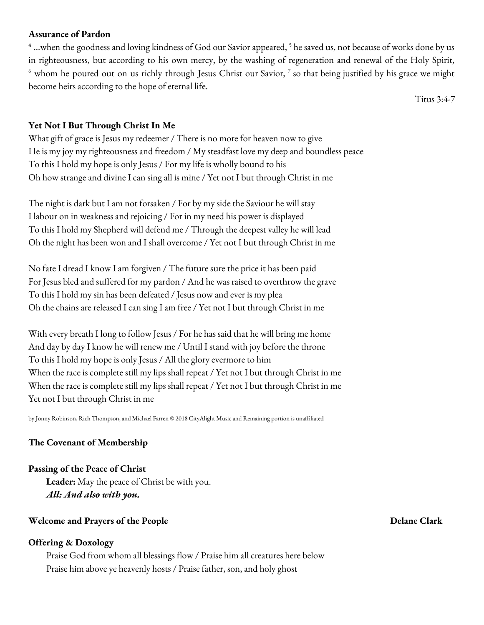#### **Assurance of Pardon**

 $^4$  …when the goodness and loving kindness of God our Savior appeared,  $^5$  he saved us, not because of works done by us in righteousness, but according to his own mercy, by the washing of regeneration and renewal of the Holy Spirit,  $^6$  whom he poured out on us richly through Jesus Christ our Savior,  $^7$  so that being justified by his grace we might become heirs according to the hope of eternal life.

Titus 3:4-7

#### **Yet Not I But Through Christ In Me**

What gift of grace is Jesus my redeemer / There is no more for heaven now to give He is my joy my righteousness and freedom / My steadfast love my deep and boundless peace To this I hold my hope is only Jesus / For my life is wholly bound to his Oh how strange and divine I can sing all is mine / Yet not I but through Christ in me

The night is dark but I am not forsaken / For by my side the Saviour he will stay I labour on in weakness and rejoicing / For in my need his power is displayed To this I hold my Shepherd will defend me / Through the deepest valley he will lead Oh the night has been won and I shall overcome / Yet not I but through Christ in me

No fate I dread I know I am forgiven / The future sure the price it has been paid For Jesus bled and suffered for my pardon / And he was raised to overthrow the grave To this I hold my sin has been defeated / Jesus now and ever is my plea Oh the chains are released I can sing I am free / Yet not I but through Christ in me

With every breath I long to follow Jesus / For he has said that he will bring me home And day by day I know he will renew me / Until I stand with joy before the throne To this I hold my hope is only Jesus / All the glory evermore to him When the race is complete still my lips shall repeat / Yet not I but through Christ in me When the race is complete still my lips shall repeat / Yet not I but through Christ in me Yet not I but through Christ in me

by Jonny Robinson, Rich Thompson, and Michael Farren © 2018 CityAlight Music and Remaining portion is unaffiliated

#### **The Covenant of Membership**

#### **Passing of the Peace of Christ**

**Leader:** May the peace of Christ be with you. *All: And also with you.*

# **Welcome and Prayers of the People Delane Clark**

#### **Offering & Doxology**

Praise God from whom all blessings flow / Praise him all creatures here below Praise him above ye heavenly hosts / Praise father, son, and holy ghost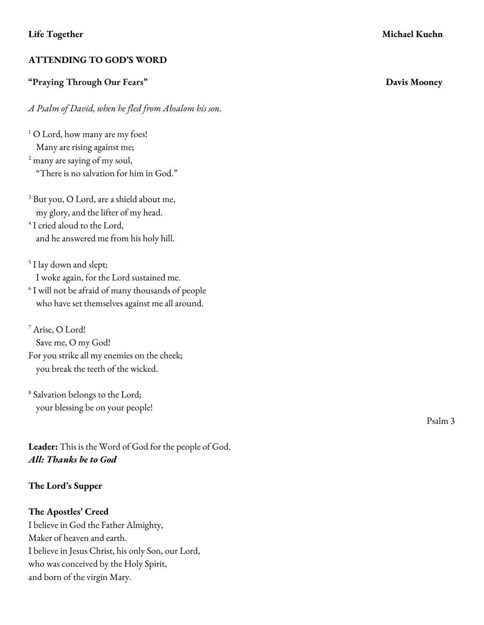# **ATTENDING TO GOD'S WORD**

# **"Praying Through Our Fears" Davis Mooney**

*A Psalm of David, when he fled from Absalom his son.*

<sup>1</sup> O Lord, how many are my foes! Many are rising against me; <sup>2</sup> many are saying of my soul, "There is no salvation for him in God."

<sup>3</sup> But you, O Lord, are a shield about me, my glory, and the lifter of my head.

4 I cried aloud to the Lord, and he answered me from his holy hill.

<sup>5</sup> I lay down and slept; I woke again, for the Lord sustained me.

 $6$  I will not be afraid of many thousands of people who have set themselves against me all around.

<sup>7</sup> Arise, O Lord! Save me, O my God! For you strike all my enemies on the cheek; you break the teeth of the wicked.

<sup>8</sup> Salvation belongs to the Lord; your blessing be on your people!

**Leader:** This is the Word of God for the people of God. *All: Thanks be to God*

# **The Lord's Supper**

# **The Apostles' Creed**

I believe in God the Father Almighty, Maker of heaven and earth. I believe in Jesus Christ, his only Son, our Lord, who was conceived by the Holy Spirit, and born of the virgin Mary.

Psalm 3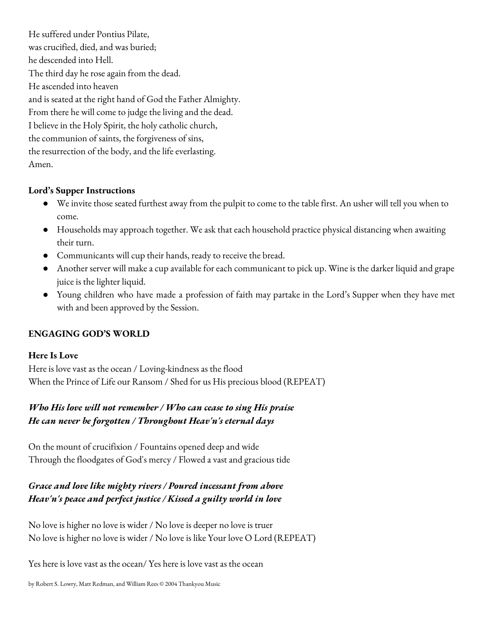He suffered under Pontius Pilate, was crucified, died, and was buried; he descended into Hell. The third day he rose again from the dead. He ascended into heaven and is seated at the right hand of God the Father Almighty. From there he will come to judge the living and the dead. I believe in the Holy Spirit, the holy catholic church, the communion of saints, the forgiveness of sins, the resurrection of the body, and the life everlasting. Amen.

# **Lord's Supper Instructions**

- We invite those seated furthest away from the pulpit to come to the table first. An usher will tell you when to come.
- Households may approach together. We ask that each household practice physical distancing when awaiting their turn.
- Communicants will cup their hands, ready to receive the bread.
- Another server will make a cup available for each communicant to pick up. Wine is the darker liquid and grape juice is the lighter liquid.
- Young children who have made a profession of faith may partake in the Lord's Supper when they have met with and been approved by the Session.

# **ENGAGING GOD'S WORLD**

# **Here Is Love**

Here is love vast as the ocean / Loving-kindness as the flood When the Prince of Life our Ransom / Shed for us His precious blood (REPEAT)

# *Who His love will not remember / Who can cease to sing His praise He can never be forgotten / Throughout Heav'n's eternal days*

On the mount of crucifixion / Fountains opened deep and wide Through the floodgates of God's mercy / Flowed a vast and gracious tide

# *Grace and love like mighty rivers / Poured incessant from above Heav'n's peace and perfect justice / Kissed a guilty world in love*

No love is higher no love is wider / No love is deeper no love is truer No love is higher no love is wider / No love is like Your love O Lord (REPEAT)

Yes here is love vast as the ocean/ Yes here is love vast as the ocean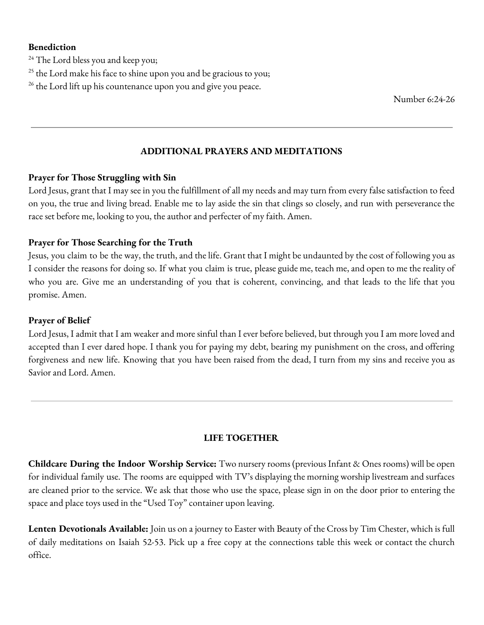#### **Benediction**

- <sup>24</sup> The Lord bless you and keep you;
- $25$  the Lord make his face to shine upon you and be gracious to you;
- <sup>26</sup> the Lord lift up his countenance upon you and give you peace.

Number 6:24-26

# **ADDITIONAL PRAYERS AND MEDITATIONS**

#### **Prayer for Those Struggling with Sin**

Lord Jesus, grant that I may see in you the fulfillment of all my needs and may turn from every false satisfaction to feed on you, the true and living bread. Enable me to lay aside the sin that clings so closely, and run with perseverance the race set before me, looking to you, the author and perfecter of my faith. Amen.

# **Prayer for Those Searching for the Truth**

Jesus, you claim to be the way, the truth, and the life. Grant that I might be undaunted by the cost of following you as I consider the reasons for doing so. If what you claim is true, please guide me, teach me, and open to me the reality of who you are. Give me an understanding of you that is coherent, convincing, and that leads to the life that you promise. Amen.

#### **Prayer of Belief**

Lord Jesus, I admit that I am weaker and more sinful than I ever before believed, but through you I am more loved and accepted than I ever dared hope. I thank you for paying my debt, bearing my punishment on the cross, and offering forgiveness and new life. Knowing that you have been raised from the dead, I turn from my sins and receive you as Savior and Lord. Amen.

# **LIFE TOGETHER**

**Childcare During the Indoor Worship Service:** Two nursery rooms (previous Infant & Ones rooms) will be open for individual family use. The rooms are equipped with TV's displaying the morning worship livestream and surfaces are cleaned prior to the service. We ask that those who use the space, please sign in on the door prior to entering the space and place toys used in the "Used Toy" container upon leaving.

**Lenten Devotionals Available:** Join us on ajourney to Easter with Beauty of the Cross by Tim Chester, which is full of daily meditations on Isaiah 52-53. Pick up a free copy at the connections table this week or contact the church office.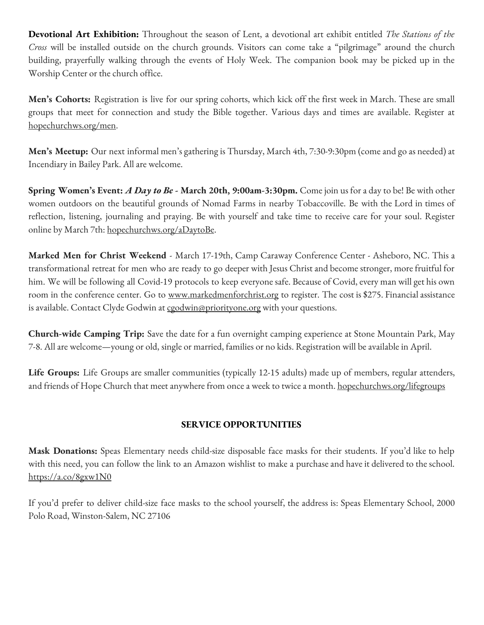**Devotional Art Exhibition:** Throughout the season of Lent, a devotional art exhibit entitled *The Stations of the Cross* will be installed outside on the church grounds. Visitors can come take a "pilgrimage" around the church building, prayerfully walking through the events of Holy Week. The companion book may be picked up in the Worship Center or the church office.

**Men's Cohorts:** Registration is live for our spring cohorts, which kick off the first week in March. These are small groups that meet for connection and study the Bible together. Various days and times are available. Register at hopechurchws.org/men.

**Men's Meetup:** Our next informal men's gathering is Thursday, March 4th, 7:30-9:30pm (come and go as needed) at Incendiary in Bailey Park. All are welcome.

**Spring Women's Event:** *A Day to Be* **- March 20th, 9:00am-3:30pm.** Come join us fora day to be! Be with other women outdoors on the beautiful grounds of Nomad Farms in nearby Tobaccoville. Be with the Lord in times of reflection, listening, journaling and praying. Be with yourself and take time to receive care for your soul. Register online by March 7th: hopechurchws.org/aDaytoBe.

**Marked Men for Christ Weekend** - March 17-19th, Camp Caraway Conference Center - Asheboro, NC. This a transformational retreat for men who are ready to go deeper with Jesus Christand become stronger, more fruitful for him. We will be following all Covid-19 protocols to keep everyone safe. Because of Covid, every man will get his own room in the conference center. Go to www.markedmenforchrist.org to register. The cost is \$275. Financial assistance is available. Contact Clyde Godwin at cgodwin@priorityone.org with your questions.

**Church-wide Camping Trip:** Save the date for a fun overnight camping experience at Stone Mountain Park, May 7-8. All are welcome—young or old, single or married, families or no kids. Registration will be available in April.

**Life Groups:** Life Groups are smaller communities (typically 12-15 adults) made up of members, regular attenders, and friends of Hope Church that meet anywhere from once a week to twice a month. hopechurchws.org/lifegroups

# **SERVICE OPPORTUNITIES**

**Mask Donations:** Speas Elementary needs child-size disposable face masks for their students. If you'd like to help with this need, you can follow the link to an Amazon wishlist to make a purchase and have it delivered to the school. https://a.co/8gxw1N0

If you'd prefer to deliver child-size face masks to the school yourself, the address is: Speas Elementary School, 2000 Polo Road, Winston-Salem, NC 27106